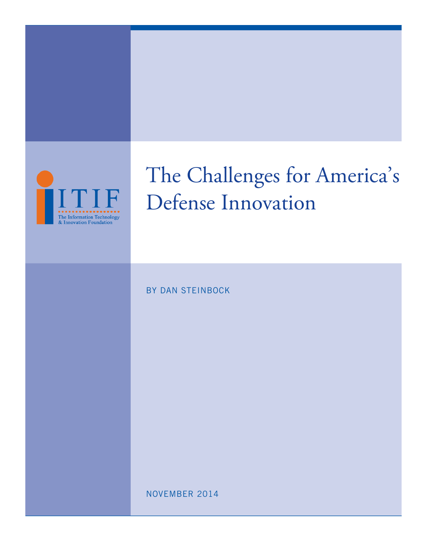

# The Challenges for America's Defense Innovation

BY DAN STEINBOCK

NOVEMBER 2014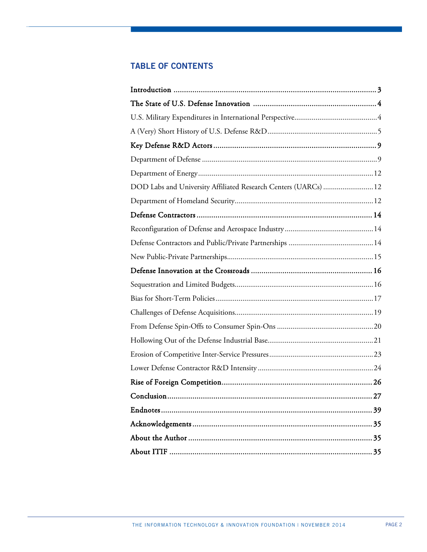# **TABLE OF CONTENTS**

| DOD Labs and University Affiliated Research Centers (UARCs)  12 |
|-----------------------------------------------------------------|
|                                                                 |
|                                                                 |
|                                                                 |
|                                                                 |
|                                                                 |
|                                                                 |
|                                                                 |
|                                                                 |
|                                                                 |
|                                                                 |
|                                                                 |
|                                                                 |
|                                                                 |
|                                                                 |
| Conclusion.<br>27                                               |
|                                                                 |
|                                                                 |
|                                                                 |
|                                                                 |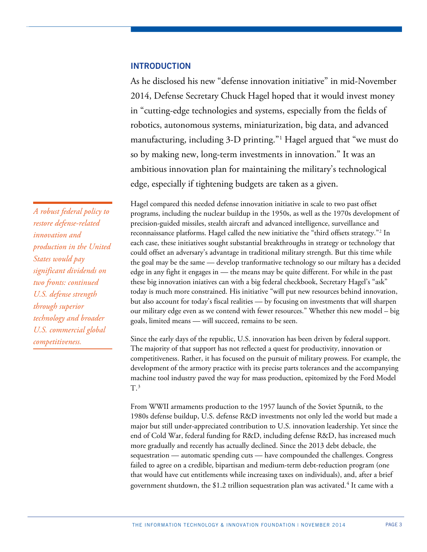## **INTRODUCTION**

As he disclosed his new "defense innovation initiative" in mid-November 2014, Defense Secretary Chuck Hagel hoped that it would invest money in "cutting-edge technologies and systems, especially from the fields of robotics, autonomous systems, miniaturization, big data, and advanced manufacturing, including 3-D printing."[1](#page-28-0) Hagel argued that "we must do so by making new, long-term investments in innovation." It was an ambitious innovation plan for maintaining the military's technological edge, especially if tightening budgets are taken as a given.

Hagel compared this needed defense innovation initiative in scale to two past offset programs, including the nuclear buildup in the 1950s, as well as the 1970s development of precision-guided missiles, stealth aircraft and advanced intelligence, surveillance and reconnaissance platforms. Hagel called the new initiative the "third offsets strategy."<sup>[2](#page-28-1)</sup> In each case, these initiatives sought substantial breakthroughs in strategy or technology that could offset an adversary's advantage in traditional military strength. But this time while the goal may be the same — develop tranformative technology so our miltary has a decided edge in any fight it engages in — the means may be quite different. For while in the past these big innovation iniatives can with a big federal checkbook, Secretary Hagel's "ask" today is much more constrained. His initiative "will put new resources behind innovation, but also account for today's fiscal realities — by focusing on investments that will sharpen our military edge even as we contend with fewer resources." Whether this new model – big goals, limited means — will succeed, remains to be seen.

Since the early days of the republic, U.S. innovation has been driven by federal support. The majority of that support has not reflected a quest for productivity, innovation or competitiveness. Rather, it has focused on the pursuit of military prowess. For example, the development of the armory practice with its precise parts tolerances and the accompanying machine tool industry paved the way for mass production, epitomized by the Ford Model  $T.^3$  $T.^3$ 

From WWII armaments production to the 1957 launch of the Soviet Sputnik, to the 1980s defense buildup, U.S. defense R&D investments not only led the world but made a major but still under-appreciated contribution to U.S. innovation leadership. Yet since the end of Cold War, federal funding for R&D, including defense R&D, has increased much more gradually and recently has actually declined. Since the 2013 debt debacle, the sequestration — automatic spending cuts — have compounded the challenges. Congress failed to agree on a credible, bipartisan and medium-term debt-reduction program (one that would have cut entitlements while increasing taxes on individuals), and, after a brief government shutdown, the \$1.2 trillion sequestration plan was activated.<sup>[4](#page-28-3)</sup> It came with a

*A robust federal policy to restore defense-related innovation and production in the United States would pay significant dividends on two fronts: continued U.S. defense strength through superior technology and broader U.S. commercial global competitiveness.*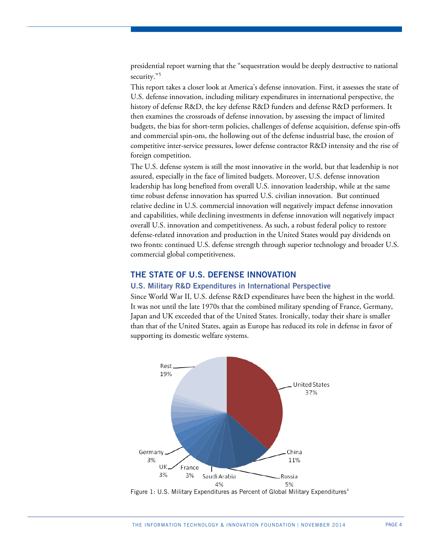presidential report warning that the "sequestration would be deeply destructive to national security."[5](#page-29-0)

This report takes a closer look at America's defense innovation. First, it assesses the state of U.S. defense innovation, including military expenditures in international perspective, the history of defense R&D, the key defense R&D funders and defense R&D performers. It then examines the crossroads of defense innovation, by assessing the impact of limited budgets, the bias for short-term policies, challenges of defense acquisition, defense spin-offs and commercial spin-ons, the hollowing out of the defense industrial base, the erosion of competitive inter-service pressures, lower defense contractor R&D intensity and the rise of foreign competition.

The U.S. defense system is still the most innovative in the world, but that leadership is not assured, especially in the face of limited budgets. Moreover, U.S. defense innovation leadership has long benefited from overall U.S. innovation leadership, while at the same time robust defense innovation has spurred U.S. civilian innovation. But continued relative decline in U.S. commercial innovation will negatively impact defense innovation and capabilities, while declining investments in defense innovation will negatively impact overall U.S. innovation and competitiveness. As such, a robust federal policy to restore defense-related innovation and production in the United States would pay dividends on two fronts: continued U.S. defense strength through superior technology and broader U.S. commercial global competitiveness.

## **THE STATE OF U.S. DEFENSE INNOVATION**

#### **U.S. Military R&D Expenditures in International Perspective**

Since World War II, U.S. defense R&D expenditures have been the highest in the world. It was not until the late 1970s that the combined military spending of France, Germany, Japan and UK exceeded that of the United States. Ironically, today their share is smaller than that of the United States, again as Europe has reduced its role in defense in favor of supporting its domestic welfare systems.



Figure 1: U.S. Military Expenditures as Percent of Global Military Expenditures $^6$  $^6$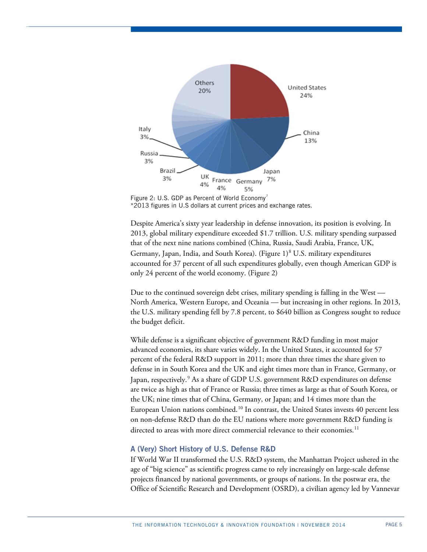

Figure 2: U.S. GDP as Percent of World Economy<sup> $\prime$ </sup> \*2013 figures in U.S dollars at current prices and exchange rates.

Despite America's sixty year leadership in defense innovation, its position is evolving. In 2013, global military expenditure exceeded \$1.7 trillion. U.S. military spending surpassed that of the next nine nations combined (China, Russia, Saudi Arabia, France, UK, Germany, Japan, India, and South Korea). (Figure 1) [8](#page-30-1) U.S. military expenditures accounted for 37 percent of all such expenditures globally, even though American GDP is only 24 percent of the world economy. (Figure 2)

Due to the continued sovereign debt crises, military spending is falling in the West — North America, Western Europe, and Oceania — but increasing in other regions. In 2013, the U.S. military spending fell by 7.8 percent, to \$640 billion as Congress sought to reduce the budget deficit.

While defense is a significant objective of government R&D funding in most major advanced economies, its share varies widely. In the United States, it accounted for 57 percent of the federal R&D support in 2011; more than three times the share given to defense in in South Korea and the UK and eight times more than in France, Germany, or Japan, respectively.[9](#page-30-2) As a share of GDP U.S. government R&D expenditures on defense are twice as high as that of France or Russia; three times as large as that of South Korea, or the UK; nine times that of China, Germany, or Japan; and 14 times more than the European Union nations combined.<sup>[10](#page-30-3)</sup> In contrast, the United States invests 40 percent less on non-defense R&D than do the EU nations where more government R&D funding is directed to areas with more direct commercial relevance to their economies.<sup>[11](#page-30-4)</sup>

## **A (Very) Short History of U.S. Defense R&D**

If World War II transformed the U.S. R&D system, the Manhattan Project ushered in the age of "big science" as scientific progress came to rely increasingly on large-scale defense projects financed by national governments, or groups of nations. In the postwar era, the Office of Scientific Research and Development (OSRD), a civilian agency led by Vannevar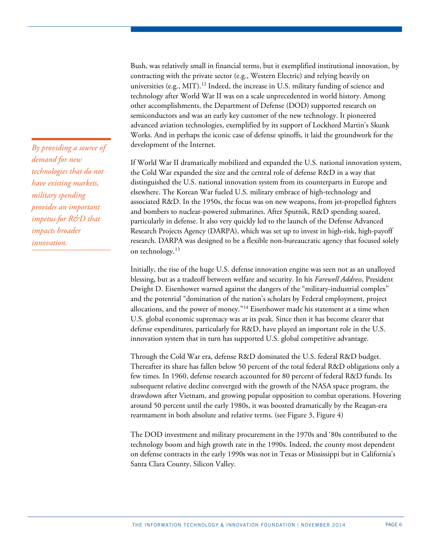Bush, was relatively small in financial terms, but it exemplified institutional innovation, by contracting with the private sector (e.g., Western Electric) and relying heavily on universities (e.g., MIT).<sup>[12](#page-31-0)</sup> Indeed, the increase in U.S. military funding of science and technology after World War II was on a scale unprecedented in world history. Among other accomplishments, the Department of Defense (DOD) supported research on semiconductors and was an early key customer of the new technology. It pioneered advanced aviation technologies, exemplified by its support of Lockheed Martin's Skunk Works. And in perhaps the iconic case of defense spinoffs, it laid the groundwork for the development of the Internet.

If World War II dramatically mobilized and expanded the U.S. national innovation system, the Cold War expanded the size and the central role of defense R&D in a way that distinguished the U.S. national innovation system from its counterparts in Europe and elsewhere. The Korean War fueled U.S. military embrace of high-technology and associated R&D. In the 1950s, the focus was on new weapons, from jet-propelled fighters and bombers to nuclear-powered submarines. After Sputnik, R&D spending soared, particularly in defense. It also very quickly led to the launch of the Defense Advanced Research Projects Agency (DARPA), which was set up to invest in high-risk, high-payoff research. DARPA was designed to be a flexible non-bureaucratic agency that focused solely on technology.<sup>[13](#page-31-1)</sup>

Initially, the rise of the huge U.S. defense innovation engine was seen not as an unalloyed blessing, but as a tradeoff between welfare and security. In his *Farewell Address*, President Dwight D. Eisenhower warned against the dangers of the "military-industrial complex" and the potential "domination of the nation's scholars by Federal employment, project allocations, and the power of money."[14](#page-31-2) Eisenhower made his statement at a time when U.S. global economic supremacy was at its peak. Since then it has become clearer that defense expenditures, particularly for R&D, have played an important role in the U.S. innovation system that in turn has supported U.S. global competitive advantage.

Through the Cold War era, defense R&D dominated the U.S. federal R&D budget. Thereafter its share has fallen below 50 percent of the total federal R&D obligations only a few times. In 1960, defense research accounted for 80 percent of federal R&D funds. Its subsequent relative decline converged with the growth of the NASA space program, the drawdown after Vietnam, and growing popular opposition to combat operations. Hovering around 50 percent until the early 1980s, it was boosted dramatically by the Reagan-era rearmament in both absolute and relative terms. (see Figure 3, Figure 4)

The DOD investment and military procurement in the 1970s and '80s contributed to the technology boom and high growth rate in the 1990s. Indeed, the county most dependent on defense contracts in the early 1990s was not in Texas or Mississippi but in California's Santa Clara County, Silicon Valley.

*By providing a source of demand for new technologies that do not have existing markets, military spending provides an important impetus for R&D that impacts broader innovation.*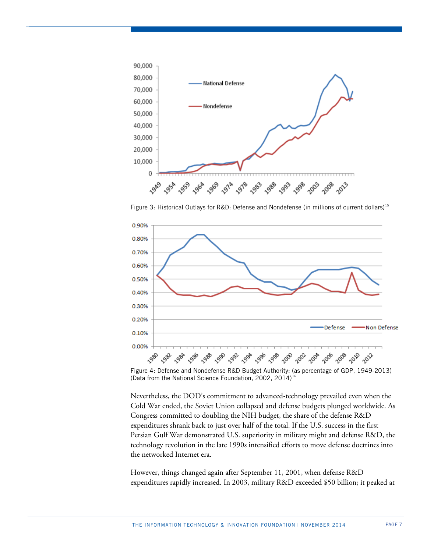

Figure 3: Historical Outlays for R&D: Defense and Nondefense (in millions of current dollars)<sup>[15](#page-32-0)</sup>



Figure 4: Defense and Nondefense R&D Budget Authority: (as percentage of GDP, 1949-2013) (Data from the National Science Foundation, 2002, 2014) [16](#page-32-1)

Nevertheless, the DOD's commitment to advanced-technology prevailed even when the Cold War ended, the Soviet Union collapsed and defense budgets plunged worldwide. As Congress committed to doubling the NIH budget, the share of the defense R&D expenditures shrank back to just over half of the total. If the U.S. success in the first Persian Gulf War demonstrated U.S. superiority in military might and defense R&D, the technology revolution in the late 1990s intensified efforts to move defense doctrines into the networked Internet era.

However, things changed again after September 11, 2001, when defense R&D expenditures rapidly increased. In 2003, military R&D exceeded \$50 billion; it peaked at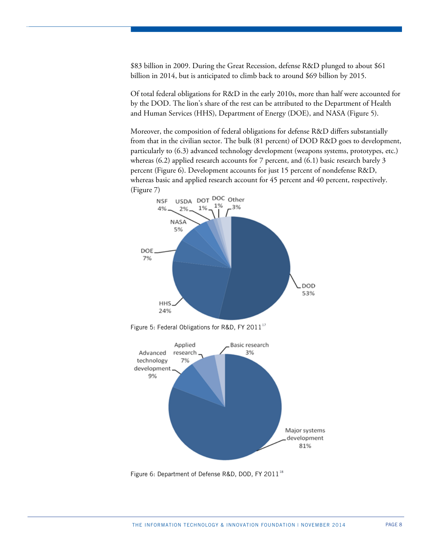\$83 billion in 2009. During the Great Recession, defense R&D plunged to about \$61 billion in 2014, but is anticipated to climb back to around \$69 billion by 2015.

Of total federal obligations for R&D in the early 2010s, more than half were accounted for by the DOD. The lion's share of the rest can be attributed to the Department of Health and Human Services (HHS), Department of Energy (DOE), and NASA (Figure 5).

Moreover, the composition of federal obligations for defense R&D differs substantially from that in the civilian sector. The bulk (81 percent) of DOD R&D goes to development, particularly to (6.3) advanced technology development (weapons systems, prototypes, etc.) whereas (6.2) applied research accounts for 7 percent, and (6.1) basic research barely 3 percent (Figure 6). Development accounts for just 15 percent of nondefense R&D, whereas basic and applied research account for 45 percent and 40 percent, respectively.







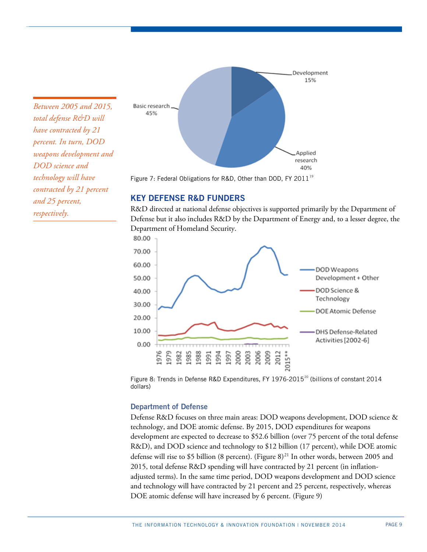**Development** 15% Basic research 45% Applied research 40%

Figure 7: Federal Obligations for R&D, Other than DOD, FY 2011<sup>[19](#page-34-0)</sup>

# **KEY DEFENSE R&D FUNDERS**

*Between 2005 and 2015, total defense R&D will have contracted by 21 percent. In turn, DOD weapons development and* 

*DOD science and technology will have* 

*and 25 percent, respectively.*

*contracted by 21 percent* 

R&D directed at national defense objectives is supported primarily by the Department of Defense but it also includes R&D by the Department of Energy and, to a lesser degree, the Department of Homeland Security.



Figure 8: Trends in Defense R&D Expenditures, FY 1976-[20](#page-34-1)15<sup>20</sup> (billions of constant 2014 dollars)

## **Department of Defense**

Defense R&D focuses on three main areas: DOD weapons development, DOD science & technology, and DOE atomic defense. By 2015, DOD expenditures for weapons development are expected to decrease to \$52.6 billion (over 75 percent of the total defense R&D), and DOD science and technology to \$12 billion (17 percent), while DOE atomic defense will rise to \$5 billion (8 percent). (Figure 8)<sup>[21](#page-34-2)</sup> In other words, between 2005 and 2015, total defense R&D spending will have contracted by 21 percent (in inflationadjusted terms). In the same time period, DOD weapons development and DOD science and technology will have contracted by 21 percent and 25 percent, respectively, whereas DOE atomic defense will have increased by 6 percent. (Figure 9)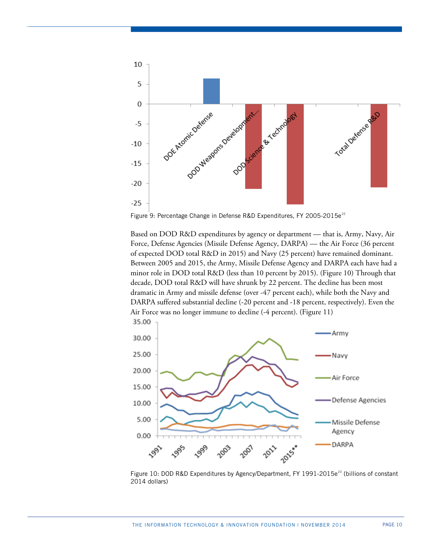

Figure 9: Percentage Change in Defense R&D Expenditures, FY 2005-2015e<sup>[22](#page-34-3)</sup>

Based on DOD R&D expenditures by agency or department — that is, Army, Navy, Air Force, Defense Agencies (Missile Defense Agency, DARPA) — the Air Force (36 percent of expected DOD total R&D in 2015) and Navy (25 percent) have remained dominant. Between 2005 and 2015, the Army, Missile Defense Agency and DARPA each have had a minor role in DOD total R&D (less than 10 percent by 2015). (Figure 10) Through that decade, DOD total R&D will have shrunk by 22 percent. The decline has been most dramatic in Army and missile defense (over -47 percent each), while both the Navy and DARPA suffered substantial decline (-20 percent and -18 percent, respectively). Even the Air Force was no longer immune to decline (-4 percent). (Figure 11)



Figure 10: DOD R&D Expenditures by Agency/Department, FY 1991-2015e<sup>[23](#page-34-4)</sup> (billions of constant 2014 dollars)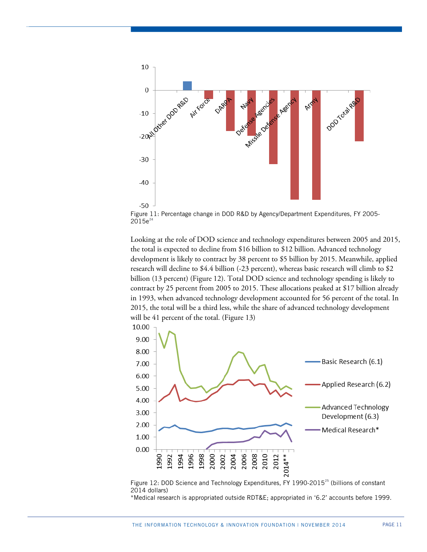

Figure 11: Percentage change in DOD R&D by Agency/Department Expenditures, FY 2005-  $2015e^{24}$  $2015e^{24}$  $2015e^{24}$ 

Looking at the role of DOD science and technology expenditures between 2005 and 2015, the total is expected to decline from \$16 billion to \$12 billion. Advanced technology development is likely to contract by 38 percent to \$5 billion by 2015. Meanwhile, applied research will decline to \$4.4 billion (-23 percent), whereas basic research will climb to \$2 billion (13 percent) (Figure 12). Total DOD science and technology spending is likely to contract by 25 percent from 2005 to 2015. These allocations peaked at \$17 billion already in 1993, when advanced technology development accounted for 56 percent of the total. In 2015, the total will be a third less, while the share of advanced technology development will be 41 percent of the total. (Figure 13)



Figure 12: DOD Science and Technology Expenditures, FY 1990-2015<sup>[25](#page-34-6)</sup> (billions of constant 2014 dollars)

\*Medical research is appropriated outside RDT&E; appropriated in '6.2' accounts before 1999.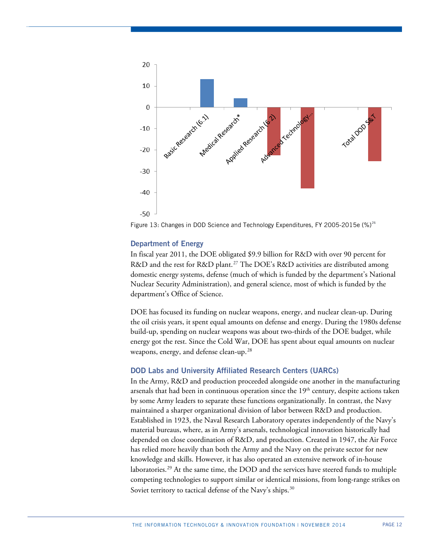

Figure 13: Changes in DOD Science and Technology Expenditures, FY 2005-2015e (%)<sup>[26](#page-34-7)</sup>

## **Department of Energy**

In fiscal year 2011, the DOE obligated \$9.9 billion for R&D with over 90 percent for R&D and the rest for R&D plant.<sup>[27](#page-34-8)</sup> The DOE's R&D activities are distributed among domestic energy systems, defense (much of which is funded by the department's National Nuclear Security Administration), and general science, most of which is funded by the department's Office of Science.

DOE has focused its funding on nuclear weapons, energy, and nuclear clean-up. During the oil crisis years, it spent equal amounts on defense and energy. During the 1980s defense build-up, spending on nuclear weapons was about two-thirds of the DOE budget, while energy got the rest. Since the Cold War, DOE has spent about equal amounts on nuclear weapons, energy, and defense clean-up.<sup>[28](#page-34-9)</sup>

## **DOD Labs and University Affiliated Research Centers (UARCs)**

In the Army, R&D and production proceeded alongside one another in the manufacturing arsenals that had been in continuous operation since the  $19<sup>th</sup>$  century, despite actions taken by some Army leaders to separate these functions organizationally. In contrast, the Navy maintained a sharper organizational division of labor between R&D and production. Established in 1923, the Naval Research Laboratory operates independently of the Navy's material bureaus, where, as in Army's arsenals, technological innovation historically had depended on close coordination of R&D, and production. Created in 1947, the Air Force has relied more heavily than both the Army and the Navy on the private sector for new knowledge and skills. However, it has also operated an extensive network of in-house laboratories.[29](#page-34-10) At the same time, the DOD and the services have steered funds to multiple competing technologies to support similar or identical missions, from long-range strikes on Soviet territory to tactical defense of the Navy's ships.<sup>[30](#page-34-11)</sup>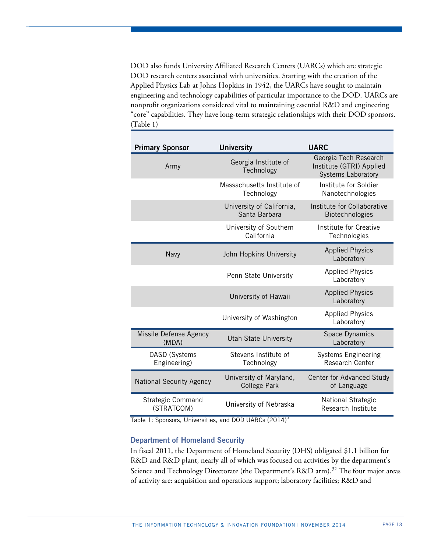DOD also funds University Affiliated Research Centers (UARCs) which are strategic DOD research centers associated with universities. Starting with the creation of the Applied Physics Lab at Johns Hopkins in 1942, the UARCs have sought to maintain engineering and technology capabilities of particular importance to the DOD. UARCs are nonprofit organizations considered vital to maintaining essential R&D and engineering "core" capabilities. They have long-term strategic relationships with their DOD sponsors. (Table 1)

| <b>Primary Sponsor</b>               | <b>University</b>                              | <b>UARC</b>                                                                    |
|--------------------------------------|------------------------------------------------|--------------------------------------------------------------------------------|
| Army                                 | Georgia Institute of<br>Technology             | Georgia Tech Research<br>Institute (GTRI) Applied<br><b>Systems Laboratory</b> |
|                                      | Massachusetts Institute of<br>Technology       | Institute for Soldier<br>Nanotechnologies                                      |
|                                      | University of California,<br>Santa Barbara     | Institute for Collaborative<br>Biotechnologies                                 |
|                                      | University of Southern<br>California           | Institute for Creative<br>Technologies                                         |
| Navy                                 | John Hopkins University                        | <b>Applied Physics</b><br>Laboratory                                           |
|                                      | Penn State University                          | <b>Applied Physics</b><br>Laboratory                                           |
|                                      | University of Hawaii                           | <b>Applied Physics</b><br>Laboratory                                           |
|                                      | University of Washington                       | <b>Applied Physics</b><br>Laboratory                                           |
| Missile Defense Agency<br>(MDA)      | <b>Utah State University</b>                   | Space Dynamics<br>Laboratory                                                   |
| <b>DASD</b> (Systems<br>Engineering) | Stevens Institute of<br>Technology             | <b>Systems Engineering</b><br><b>Research Center</b>                           |
| <b>National Security Agency</b>      | University of Maryland,<br><b>College Park</b> | Center for Advanced Study<br>of Language                                       |
| Strategic Command<br>(STRATCOM)      | University of Nebraska                         | National Strategic<br>Research Institute                                       |

Table 1: Sponsors, Universities, and DOD UARCs  $(2014)^{31}$  $(2014)^{31}$  $(2014)^{31}$ 

#### **Department of Homeland Security**

In fiscal 2011, the Department of Homeland Security (DHS) obligated \$1.1 billion for R&D and R&D plant, nearly all of which was focused on activities by the department's Science and Technology Directorate (the Department's R&D arm).<sup>[32](#page-34-13)</sup> The four major areas of activity are: acquisition and operations support; laboratory facilities; R&D and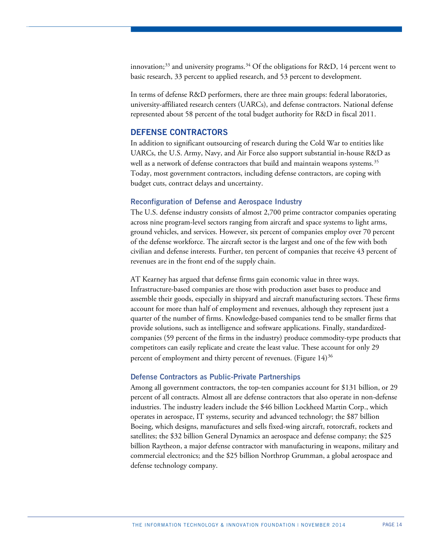innovation; $^{\text{33}}$  $^{\text{33}}$  $^{\text{33}}$  and university programs. $^{\text{34}}$  $^{\text{34}}$  $^{\text{34}}$  Of the obligations for R&D, 14 percent went to basic research, 33 percent to applied research, and 53 percent to development.

In terms of defense R&D performers, there are three main groups: federal laboratories, university-affiliated research centers (UARCs), and defense contractors. National defense represented about 58 percent of the total budget authority for R&D in fiscal 2011.

## **DEFENSE CONTRACTORS**

In addition to significant outsourcing of research during the Cold War to entities like UARCs, the U.S. Army, Navy, and Air Force also support substantial in-house R&D as well as a network of defense contractors that build and maintain weapons systems.<sup>[35](#page-34-0)</sup> Today, most government contractors, including defense contractors, are coping with budget cuts, contract delays and uncertainty.

## **Reconfiguration of Defense and Aerospace Industry**

The U.S. defense industry consists of almost 2,700 prime contractor companies operating across nine program-level sectors ranging from aircraft and space systems to light arms, ground vehicles, and services. However, six percent of companies employ over 70 percent of the defense workforce. The aircraft sector is the largest and one of the few with both civilian and defense interests. Further, ten percent of companies that receive 43 percent of revenues are in the front end of the supply chain.

AT Kearney has argued that defense firms gain economic value in three ways. Infrastructure-based companies are those with production asset bases to produce and assemble their goods, especially in shipyard and aircraft manufacturing sectors. These firms account for more than half of employment and revenues, although they represent just a quarter of the number of firms. Knowledge-based companies tend to be smaller firms that provide solutions, such as intelligence and software applications. Finally, standardizedcompanies (59 percent of the firms in the industry) produce commodity-type products that competitors can easily replicate and create the least value. These account for only 29 percent of employment and thirty percent of revenues. (Figure  $14$ )<sup>[36](#page-34-16)</sup>

#### **Defense Contractors as Public-Private Partnerships**

Among all government contractors, the top-ten companies account for \$131 billion, or 29 percent of all contracts. Almost all are defense contractors that also operate in non-defense industries. The industry leaders include the \$46 billion Lockheed Martin Corp., which operates in aerospace, IT systems, security and advanced technology; the \$87 billion Boeing, which designs, manufactures and sells fixed-wing aircraft, rotorcraft, rockets and satellites; the \$32 billion General Dynamics an aerospace and defense company; the \$25 billion Raytheon, a major defense contractor with manufacturing in weapons, military and commercial electronics; and the \$25 billion Northrop Grumman, a global aerospace and defense technology company.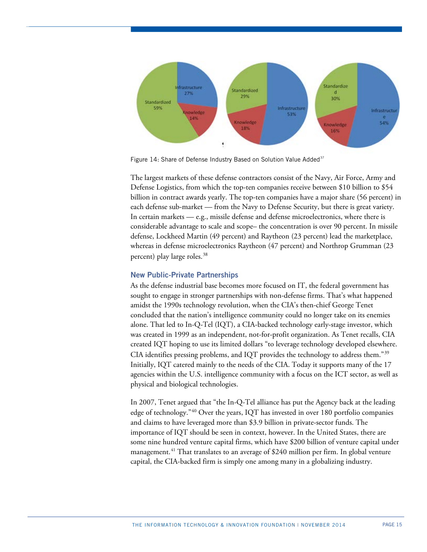

Figure 14: Share of Defense Industry Based on Solution Value Added<sup>[37](#page-34-17)</sup>

The largest markets of these defense contractors consist of the Navy, Air Force, Army and Defense Logistics, from which the top-ten companies receive between \$10 billion to \$54 billion in contract awards yearly. The top-ten companies have a major share (56 percent) in each defense sub-market — from the Navy to Defense Security, but there is great variety. In certain markets —  $e.g.,$  missile defense and defense microelectronics, where there is considerable advantage to scale and scope– the concentration is over 90 percent. In missile defense, Lockheed Martin (49 percent) and Raytheon (23 percent) lead the marketplace, whereas in defense microelectronics Raytheon (47 percent) and Northrop Grumman (23 percent) play large roles.<sup>[38](#page-34-18)</sup>

# **New Public-Private Partnerships**

As the defense industrial base becomes more focused on IT, the federal government has sought to engage in stronger partnerships with non-defense firms. That's what happened amidst the 1990s technology revolution, when the CIA's then-chief George Tenet concluded that the nation's intelligence community could no longer take on its enemies alone. That led to In-Q-Tel (IQT), a CIA-backed technology early-stage investor, which was created in 1999 as an independent, not-for-profit organization. As Tenet recalls, CIA created IQT hoping to use its limited dollars "to leverage technology developed elsewhere. CIA identifies pressing problems, and IQT provides the technology to address them."[39](#page-34-4) Initially, IQT catered mainly to the needs of the CIA. Today it supports many of the 17 agencies within the U.S. intelligence community with a focus on the ICT sector, as well as physical and biological technologies.

In 2007, Tenet argued that "the In-Q-Tel alliance has put the Agency back at the leading edge of technology."[40](#page-34-19) Over the years, IQT has invested in over 180 portfolio companies and claims to have leveraged more than \$3.9 billion in private-sector funds. The importance of IQT should be seen in context, however. In the United States, there are some nine hundred venture capital firms, which have \$200 billion of venture capital under management.<sup>[41](#page-34-20)</sup> That translates to an average of \$240 million per firm. In global venture capital, the CIA-backed firm is simply one among many in a globalizing industry.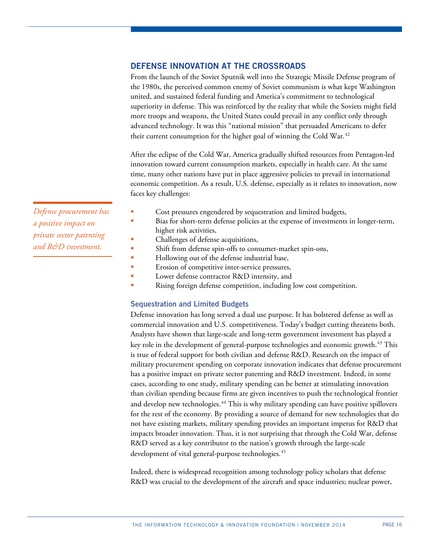# **DEFENSE INNOVATION AT THE CROSSROADS**

From the launch of the Soviet Sputnik well into the Strategic Missile Defense program of the 1980s, the perceived common enemy of Soviet communism is what kept Washington united, and sustained federal funding and America's commitment to technological superiority in defense. This was reinforced by the reality that while the Soviets might field more troops and weapons, the United States could prevail in any conflict only through advanced technology. It was this "national mission" that persuaded Americans to defer their current consumption for the higher goal of winning the Cold War.<sup>[42](#page-34-21)</sup>

After the eclipse of the Cold War, America gradually shifted resources from Pentagon-led innovation toward current consumption markets, especially in health care. At the same time, many other nations have put in place aggressive policies to prevail in international economic competition. As a result, U.S. defense, especially as it relates to innovation, now faces key challenges:

- Cost pressures engendered by sequestration and limited budgets,
	- Bias for short-term defense policies at the expense of investments in longer-term, higher risk activities,
	- Challenges of defense acquisitions,
- Shift from defense spin-offs to consumer-market spin-ons,
- Hollowing out of the defense industrial base,
- Erosion of competitive inter-service pressures,
- **Lower defense contractor R&D intensity, and**
- Rising foreign defense competition, including low cost competition.

## **Sequestration and Limited Budgets**

Defense innovation has long served a dual use purpose. It has bolstered defense as well as commercial innovation and U.S. competitiveness. Today's budget cutting threatens both. Analysts have shown that large-scale and long-term government investment has played a key role in the development of general-purpose technologies and economic growth.<sup>[43](#page-34-22)</sup> This is true of federal support for both civilian and defense R&D. Research on the impact of military procurement spending on corporate innovation indicates that defense procurement has a positive impact on private sector patenting and R&D investment. Indeed, in some cases, according to one study, military spending can be better at stimulating innovation than civilian spending because firms are given incentives to push the technological frontier and develop new technologies.[44](#page-34-23) This is why military spending can have positive spillovers for the rest of the economy. By providing a source of demand for new technologies that do not have existing markets, military spending provides an important impetus for R&D that impacts broader innovation. Thus, it is not surprising that through the Cold War, defense R&D served as a key contributor to the nation's growth through the large-scale development of vital general-purpose technologies. [45](#page-34-24)

Indeed, there is widespread recognition among technology policy scholars that defense R&D was crucial to the development of the aircraft and space industries; nuclear power,

*Defense procurement has a positive impact on private sector patenting and R&D investment.*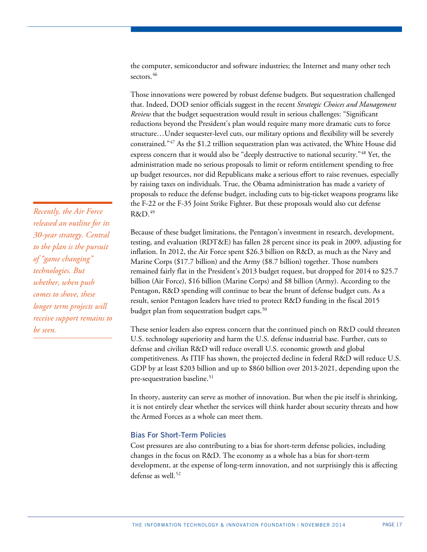the computer, semiconductor and software industries; the Internet and many other tech sectors.<sup>[46](#page-34-25)</sup>

Those innovations were powered by robust defense budgets. But sequestration challenged that. Indeed, DOD senior officials suggest in the recent *Strategic Choices and Management Review* that the budget sequestration would result in serious challenges: "Significant reductions beyond the President's plan would require many more dramatic cuts to force structure…Under sequester-level cuts, our military options and flexibility will be severely constrained." $47$  As the \$1.2 trillion sequestration plan was activated, the White House did express concern that it would also be "deeply destructive to national security."[48](#page-34-27) Yet, the administration made no serious proposals to limit or reform entitlement spending to free up budget resources, nor did Republicans make a serious effort to raise revenues, especially by raising taxes on individuals. True, the Obama administration has made a variety of proposals to reduce the defense budget, including cuts to big-ticket weapons programs like the F-22 or the F-35 Joint Strike Fighter. But these proposals would also cut defense  $R\&D.49$  $R\&D.49$ 

Because of these budget limitations, the Pentagon's investment in research, development, testing, and evaluation (RDT&E) has fallen 28 percent since its peak in 2009, adjusting for inflation. In 2012, the Air Force spent \$26.3 billion on R&D, as much as the Navy and Marine Corps (\$17.7 billion) and the Army (\$8.7 billion) together. Those numbers remained fairly flat in the President's 2013 budget request, but dropped for 2014 to \$25.7 billion (Air Force), \$16 billion (Marine Corps) and \$8 billion (Army). According to the Pentagon, R&D spending will continue to bear the brunt of defense budget cuts. As a result, senior Pentagon leaders have tried to protect R&D funding in the fiscal 2015 budget plan from sequestration budget caps.<sup>[50](#page-34-29)</sup>

These senior leaders also express concern that the continued pinch on R&D could threaten U.S. technology superiority and harm the U.S. defense industrial base. Further, cuts to defense and civilian R&D will reduce overall U.S. economic growth and global competitiveness. As ITIF has shown, the projected decline in federal R&D will reduce U.S. GDP by at least \$203 billion and up to \$860 billion over 2013-2021, depending upon the pre-sequestration baseline. [51](#page-34-30)

In theory, austerity can serve as mother of innovation. But when the pie itself is shrinking, it is not entirely clear whether the services will think harder about security threats and how the Armed Forces as a whole can meet them.

## **Bias For Short-Term Policies**

Cost pressures are also contributing to a bias for short-term defense policies, including changes in the focus on R&D. The economy as a whole has a bias for short-term development, at the expense of long-term innovation, and not surprisingly this is affecting defense as well. [52](#page-34-31)

*Recently, the Air Force released an outline for its 30-year strategy. Central to the plan is the pursuit of "game changing" technologies. But whether, when push comes to shove, these longer term projects will receive support remains to be seen.*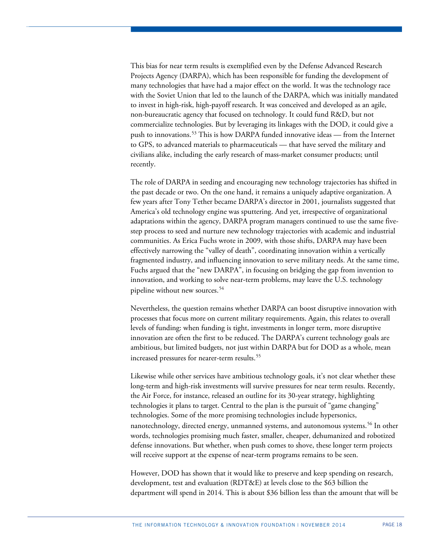This bias for near term results is exemplified even by the Defense Advanced Research Projects Agency (DARPA), which has been responsible for funding the development of many technologies that have had a major effect on the world. It was the technology race with the Soviet Union that led to the launch of the DARPA, which was initially mandated to invest in high-risk, high-payoff research. It was conceived and developed as an agile, non-bureaucratic agency that focused on technology. It could fund R&D, but not commercialize technologies. But by leveraging its linkages with the DOD, it could give a push to innovations.[53](#page-34-32) This is how DARPA funded innovative ideas — from the Internet to GPS, to advanced materials to pharmaceuticals — that have served the military and civilians alike, including the early research of mass-market consumer products; until recently.

The role of DARPA in seeding and encouraging new technology trajectories has shifted in the past decade or two. On the one hand, it remains a uniquely adaptive organization. A few years after Tony Tether became DARPA's director in 2001, journalists suggested that America's old technology engine was sputtering. And yet, irrespective of organizational adaptations within the agency, DARPA program managers continued to use the same fivestep process to seed and nurture new technology trajectories with academic and industrial communities. As Erica Fuchs wrote in 2009, with those shifts, DARPA may have been effectively narrowing the "valley of death", coordinating innovation within a vertically fragmented industry, and influencing innovation to serve military needs. At the same time, Fuchs argued that the "new DARPA", in focusing on bridging the gap from invention to innovation, and working to solve near-term problems, may leave the U.S. technology pipeline without new sources.[54](#page-34-33)

Nevertheless, the question remains whether DARPA can boost disruptive innovation with processes that focus more on current military requirements. Again, this relates to overall levels of funding: when funding is tight, investments in longer term, more disruptive innovation are often the first to be reduced. The DARPA's current technology goals are ambitious, but limited budgets, not just within DARPA but for DOD as a whole, mean increased pressures for nearer-term results.<sup>[55](#page-34-34)</sup>

Likewise while other services have ambitious technology goals, it's not clear whether these long-term and high-risk investments will survive pressures for near term results. Recently, the Air Force, for instance, released an outline for its 30-year strategy, highlighting technologies it plans to target. Central to the plan is the pursuit of "game changing" technologies. Some of the more promising technologies include hypersonics, nanotechnology, directed energy, unmanned systems, and autonomous systems.[56](#page-34-18) In other words, technologies promising much faster, smaller, cheaper, dehumanized and robotized defense innovations. But whether, when push comes to shove, these longer term projects will receive support at the expense of near-term programs remains to be seen.

However, DOD has shown that it would like to preserve and keep spending on research, development, test and evaluation (RDT&E) at levels close to the \$63 billion the department will spend in 2014. This is about \$36 billion less than the amount that will be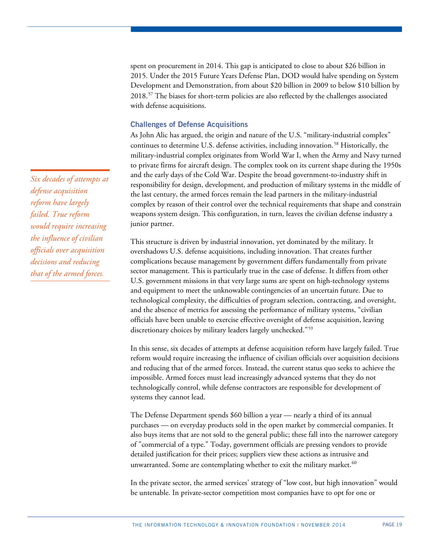spent on procurement in 2014. This gap is anticipated to close to about \$26 billion in 2015. Under the 2015 Future Years Defense Plan, DOD would halve spending on System Development and Demonstration, from about \$20 billion in 2009 to below \$10 billion by 2018.[57](#page-34-35) The biases for short-term policies are also reflected by the challenges associated with defense acquisitions.

## **Challenges of Defense Acquisitions**

As John Alic has argued, the origin and nature of the U.S. "military-industrial complex" continues to determine U.S. defense activities, including innovation.<sup>[58](#page-34-3)</sup> Historically, the military-industrial complex originates from World War I, when the Army and Navy turned to private firms for aircraft design. The complex took on its current shape during the 1950s and the early days of the Cold War. Despite the broad government-to-industry shift in responsibility for design, development, and production of military systems in the middle of the last century, the armed forces remain the lead partners in the military-industrial complex by reason of their control over the technical requirements that shape and constrain weapons system design. This configuration, in turn, leaves the civilian defense industry a junior partner.

This structure is driven by industrial innovation, yet dominated by the military. It overshadows U.S. defense acquisitions, including innovation. That creates further complications because management by government differs fundamentally from private sector management. This is particularly true in the case of defense. It differs from other U.S. government missions in that very large sums are spent on high-technology systems and equipment to meet the unknowable contingencies of an uncertain future. Due to technological complexity, the difficulties of program selection, contracting, and oversight, and the absence of metrics for assessing the performance of military systems, "civilian officials have been unable to exercise effective oversight of defense acquisition, leaving discretionary choices by military leaders largely unchecked."[59](#page-34-4)

In this sense, six decades of attempts at defense acquisition reform have largely failed. True reform would require increasing the influence of civilian officials over acquisition decisions and reducing that of the armed forces. Instead, the current status quo seeks to achieve the impossible. Armed forces must lead increasingly advanced systems that they do not technologically control, while defense contractors are responsible for development of systems they cannot lead.

The Defense Department spends \$60 billion a year — nearly a third of its annual purchases — on everyday products sold in the open market by commercial companies. It also buys items that are not sold to the general public; these fall into the narrower category of "commercial of a type." Today, government officials are pressing vendors to provide detailed justification for their prices; suppliers view these actions as intrusive and unwarranted. Some are contemplating whether to exit the military market.<sup>[60](#page-34-36)</sup>

In the private sector, the armed services' strategy of "low cost, but high innovation" would be untenable. In private-sector competition most companies have to opt for one or

*Six decades of attempts at defense acquisition reform have largely failed. True reform would require increasing the influence of civilian officials over acquisition decisions and reducing that of the armed forces.*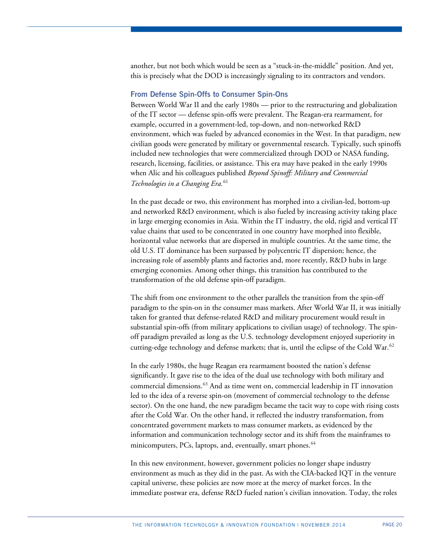another, but not both which would be seen as a "stuck-in-the-middle" position. And yet, this is precisely what the DOD is increasingly signaling to its contractors and vendors.

## **From Defense Spin-Offs to Consumer Spin-Ons**

Between World War II and the early 1980s — prior to the restructuring and globalization of the IT sector — defense spin-offs were prevalent. The Reagan-era rearmament, for example, occurred in a government-led, top-down, and non-networked R&D environment, which was fueled by advanced economies in the West. In that paradigm, new civilian goods were generated by military or governmental research. Typically, such spinoffs included new technologies that were commercialized through DOD or NASA funding, research, licensing, facilities, or assistance. This era may have peaked in the early 1990s when Alic and his colleagues published *Beyond Spinoff: Military and Commercial Technologies in a Changing Era.*[61](#page-34-37)

In the past decade or two, this environment has morphed into a civilian-led, bottom-up and networked R&D environment, which is also fueled by increasing activity taking place in large emerging economies in Asia. Within the IT industry, the old, rigid and vertical IT value chains that used to be concentrated in one country have morphed into flexible, horizontal value networks that are dispersed in multiple countries. At the same time, the old U.S. IT dominance has been surpassed by polycentric IT dispersion; hence, the increasing role of assembly plants and factories and, more recently, R&D hubs in large emerging economies. Among other things, this transition has contributed to the transformation of the old defense spin-off paradigm.

The shift from one environment to the other parallels the transition from the spin-off paradigm to the spin-on in the consumer mass markets. After World War II, it was initially taken for granted that defense-related R&D and military procurement would result in substantial spin-offs (from military applications to civilian usage) of technology. The spinoff paradigm prevailed as long as the U.S. technology development enjoyed superiority in cutting-edge technology and defense markets; that is, until the eclipse of the Cold War.<sup>[62](#page-34-38)</sup>

In the early 1980s, the huge Reagan era rearmament boosted the nation's defense significantly. It gave rise to the idea of the dual use technology with both military and commercial dimensions.[63](#page-34-39) And as time went on, commercial leadership in IT innovation led to the idea of a reverse spin-on (movement of commercial technology to the defense sector). On the one hand, the new paradigm became the tacit way to cope with rising costs after the Cold War. On the other hand, it reflected the industry transformation, from concentrated government markets to mass consumer markets, as evidenced by the information and communication technology sector and its shift from the mainframes to minicomputers, PCs, laptops, and, eventually, smart phones.<sup>[64](#page-34-40)</sup>

In this new environment, however, government policies no longer shape industry environment as much as they did in the past. As with the CIA-backed IQT in the venture capital universe, these policies are now more at the mercy of market forces. In the immediate postwar era, defense R&D fueled nation's civilian innovation. Today, the roles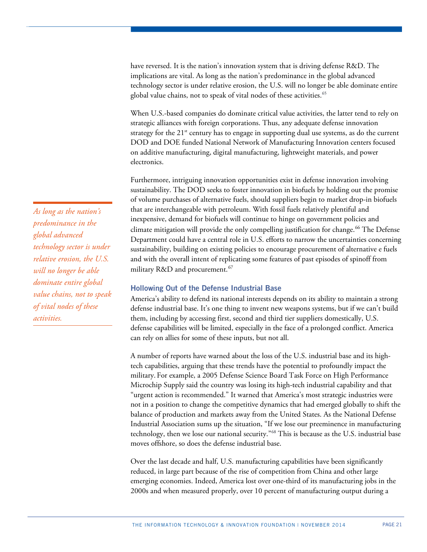have reversed. It is the nation's innovation system that is driving defense R&D. The implications are vital. As long as the nation's predominance in the global advanced technology sector is under relative erosion, the U.S. will no longer be able dominate entire global value chains, not to speak of vital nodes of these activities. [65](#page-34-41)

When U.S.-based companies do dominate critical value activities, the latter tend to rely on strategic alliances with foreign corporations. Thus, any adequate defense innovation strategy for the  $21<sup>st</sup>$  century has to engage in supporting dual use systems, as do the current DOD and DOE funded National Network of Manufacturing Innovation centers focused on additive manufacturing, digital manufacturing, lightweight materials, and power electronics.

Furthermore, intriguing innovation opportunities exist in defense innovation involving sustainability. The DOD seeks to foster innovation in biofuels by holding out the promise of volume purchases of alternative fuels, should suppliers begin to market drop-in biofuels that are interchangeable with petroleum. With fossil fuels relatively plentiful and inexpensive, demand for biofuels will continue to hinge on government policies and climate mitigation will provide the only compelling justification for change. [66](#page-34-42) The Defense Department could have a central role in U.S. efforts to narrow the uncertainties concerning sustainability, building on existing policies to encourage procurement of alternative e fuels and with the overall intent of replicating some features of past episodes of spinoff from military R&D and procurement.<sup>[67](#page-34-43)</sup>

## **Hollowing Out of the Defense Industrial Base**

America's ability to defend its national interests depends on its ability to maintain a strong defense industrial base. It's one thing to invent new weapons systems, but if we can't build them, including by accessing first, second and third tier suppliers domestically, U.S. defense capabilities will be limited, especially in the face of a prolonged conflict. America can rely on allies for some of these inputs, but not all.

A number of reports have warned about the loss of the U.S. industrial base and its hightech capabilities, arguing that these trends have the potential to profoundly impact the military. For example, a 2005 Defense Science Board Task Force on High Performance Microchip Supply said the country was losing its high-tech industrial capability and that "urgent action is recommended." It warned that America's most strategic industries were not in a position to change the competitive dynamics that had emerged globally to shift the balance of production and markets away from the United States. As the National Defense Industrial Association sums up the situation, "If we lose our preeminence in manufacturing technology, then we lose our national security."[68](#page-34-44) This is because as the U.S. industrial base moves offshore, so does the defense industrial base.

Over the last decade and half, U.S. manufacturing capabilities have been significantly reduced, in large part because of the rise of competition from China and other large emerging economies. Indeed, America lost over one-third of its manufacturing jobs in the 2000s and when measured properly, over 10 percent of manufacturing output during a

*As long as the nation's predominance in the global advanced technology sector is under relative erosion, the U.S. will no longer be able dominate entire global value chains, not to speak of vital nodes of these activities.*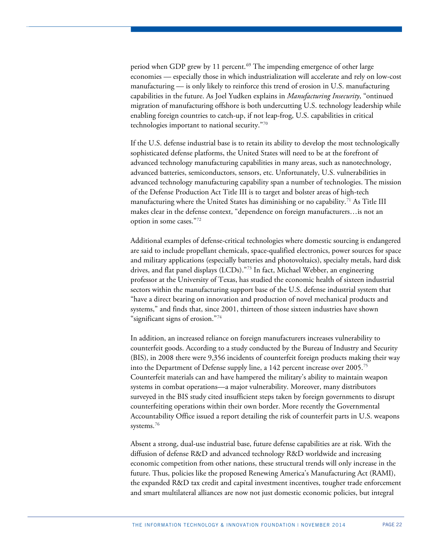period when GDP grew by 11 percent.<sup>[69](#page-34-45)</sup> The impending emergence of other large economies — especially those in which industrialization will accelerate and rely on low-cost manufacturing — is only likely to reinforce this trend of erosion in U.S. manufacturing capabilities in the future. As Joel Yudken explains in *Manufacturing Insecurity*, "ontinued migration of manufacturing offshore is both undercutting U.S. technology leadership while enabling foreign countries to catch-up, if not leap-frog, U.S. capabilities in critical technologies important to national security."[70](#page-34-46)

If the U.S. defense industrial base is to retain its ability to develop the most technologically sophisticated defense platforms, the United States will need to be at the forefront of advanced technology manufacturing capabilities in many areas, such as nanotechnology, advanced batteries, semiconductors, sensors, etc. Unfortunately, U.S. vulnerabilities in advanced technology manufacturing capability span a number of technologies. The mission of the Defense Production Act Title III is to target and bolster areas of high-tech manufacturing where the United States has diminishing or no capability.<sup>[71](#page-34-32)</sup> As Title III makes clear in the defense context, "dependence on foreign manufacturers…is not an option in some cases."[72](#page-34-16)

Additional examples of defense-critical technologies where domestic sourcing is endangered are said to include propellant chemicals, space-qualified electronics, power sources for space and military applications (especially batteries and photovoltaics), specialty metals, hard disk drives, and flat panel displays (LCDs)."[73](#page-34-34) In fact, Michael Webber, an engineering professor at the University of Texas, has studied the economic health of sixteen industrial sectors within the manufacturing support base of the U.S. defense industrial system that "have a direct bearing on innovation and production of novel mechanical products and systems," and finds that, since 2001, thirteen of those sixteen industries have shown "significant signs of erosion."[74](#page-34-47)

In addition, an increased reliance on foreign manufacturers increases vulnerability to counterfeit goods. According to a study conducted by the Bureau of Industry and Security (BIS), in 2008 there were 9,356 incidents of counterfeit foreign products making their way into the Department of Defense supply line, a 142 percent increase over 2005.[75](#page-34-48) Counterfeit materials can and have hampered the military's ability to maintain weapon systems in combat operations—a major vulnerability. Moreover, many distributors surveyed in the BIS study cited insufficient steps taken by foreign governments to disrupt counterfeiting operations within their own border. More recently the Governmental Accountability Office issued a report detailing the risk of counterfeit parts in U.S. weapons systems.<sup>[76](#page-34-4)</sup>

Absent a strong, dual-use industrial base, future defense capabilities are at risk. With the diffusion of defense R&D and advanced technology R&D worldwide and increasing economic competition from other nations, these structural trends will only increase in the future. Thus, policies like the proposed Renewing America's Manufacturing Act (RAMI), the expanded R&D tax credit and capital investment incentives, tougher trade enforcement and smart multilateral alliances are now not just domestic economic policies, but integral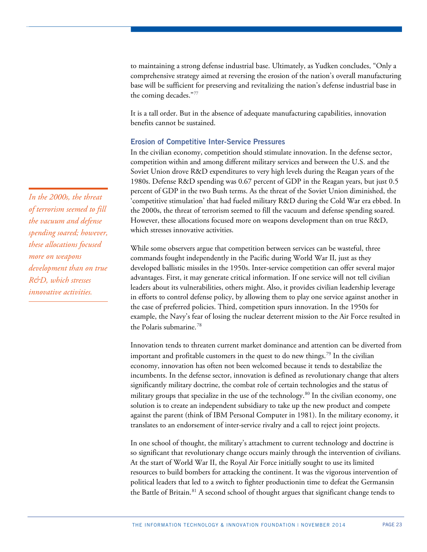to maintaining a strong defense industrial base. Ultimately, as Yudken concludes, "Only a comprehensive strategy aimed at reversing the erosion of the nation's overall manufacturing base will be sufficient for preserving and revitalizing the nation's defense industrial base in the coming decades."[77](#page-34-36)

It is a tall order. But in the absence of adequate manufacturing capabilities, innovation benefits cannot be sustained.

## **Erosion of Competitive Inter-Service Pressures**

In the civilian economy, competition should stimulate innovation. In the defense sector, competition within and among different military services and between the U.S. and the Soviet Union drove R&D expenditures to very high levels during the Reagan years of the 1980s. Defense R&D spending was 0.67 percent of GDP in the Reagan years, but just 0.5 percent of GDP in the two Bush terms. As the threat of the Soviet Union diminished, the 'competitive stimulation' that had fueled military R&D during the Cold War era ebbed. In the 2000s, the threat of terrorism seemed to fill the vacuum and defense spending soared. However, these allocations focused more on weapons development than on true R&D, which stresses innovative activities.

While some observers argue that competition between services can be wasteful, three commands fought independently in the Pacific during World War II, just as they developed ballistic missiles in the 1950s. Inter-service competition can offer several major advantages. First, it may generate critical information. If one service will not tell civilian leaders about its vulnerabilities, others might. Also, it provides civilian leadership leverage in efforts to control defense policy, by allowing them to play one service against another in the case of preferred policies. Third, competition spurs innovation. In the 1950s for example, the Navy's fear of losing the nuclear deterrent mission to the Air Force resulted in the Polaris submarine.[78](#page-34-49)

Innovation tends to threaten current market dominance and attention can be diverted from important and profitable customers in the quest to do new things.<sup>[79](#page-34-38)</sup> In the civilian economy, innovation has often not been welcomed because it tends to destabilize the incumbents. In the defense sector, innovation is defined as revolutionary change that alters significantly military doctrine, the combat role of certain technologies and the status of military groups that specialize in the use of the technology.<sup>[80](#page-34-39)</sup> In the civilian economy, one solution is to create an independent subsidiary to take up the new product and compete against the parent (think of IBM Personal Computer in 1981). In the military economy, it translates to an endorsement of inter-service rivalry and a call to reject joint projects.

In one school of thought, the military's attachment to current technology and doctrine is so significant that revolutionary change occurs mainly through the intervention of civilians. At the start of World War II, the Royal Air Force initially sought to use its limited resources to build bombers for attacking the continent. It was the vigorous intervention of political leaders that led to a switch to fighter productionin time to defeat the Germansin the Battle of Britain.<sup>[81](#page-34-40)</sup> A second school of thought argues that significant change tends to

*In the 2000s, the threat of terrorism seemed to fill the vacuum and defense spending soared; however, these allocations focused more on weapons development than on true R&D, which stresses innovative activities.*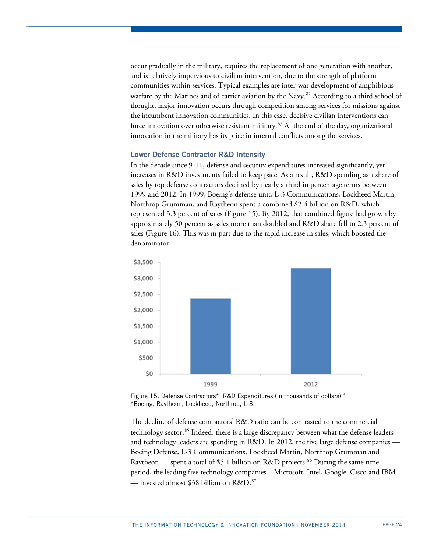occur gradually in the military, requires the replacement of one generation with another, and is relatively impervious to civilian intervention, due to the strength of platform communities within services. Typical examples are inter-war development of amphibious warfare by the Marines and of carrier aviation by the Navy.<sup>[82](#page-34-50)</sup> According to a third school of thought, major innovation occurs through competition among services for missions against the incumbent innovation communities. In this case, decisive civilian interventions can force innovation over otherwise resistant military.<sup>[83](#page-34-51)</sup> At the end of the day, organizational innovation in the military has its price in internal conflicts among the services.

#### **Lower Defense Contractor R&D Intensity**

In the decade since 9-11, defense and security expenditures increased significantly, yet increases in R&D investments failed to keep pace. As a result, R&D spending as a share of sales by top defense contractors declined by nearly a third in percentage terms between 1999 and 2012. In 1999, Boeing's defense unit, L-3 Communications, Lockheed Martin, Northrop Grumman, and Raytheon spent a combined \$2.4 billion on R&D, which represented 3.3 percent of sales (Figure 15). By 2012, that combined figure had grown by approximately 50 percent as sales more than doubled and R&D share fell to 2.3 percent of sales (Figure 16). This was in part due to the rapid increase in sales, which boosted the denominator.





The decline of defense contractors' R&D ratio can be contrasted to the commercial technology sector.<sup>[85](#page-34-52)</sup> Indeed, there is a large discrepancy between what the defense leaders and technology leaders are spending in R&D. In 2012, the five large defense companies — Boeing Defense, L-3 Communications, Lockheed Martin, Northrop Grumman and Raytheon — spent a total of \$5.1 billion on R&D projects.<sup>[86](#page-34-53)</sup> During the same time period, the leading five technology companies – Microsoft, Intel, Google, Cisco and IBM — invested almost \$38 billion on  $R\&D$ .<sup>[87](#page-34-54)</sup>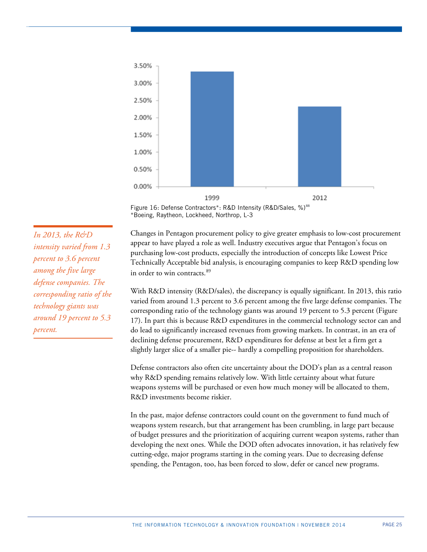

Figure 16: Defense Contractors\*: R&D Intensity (R&D/Sales, %)<sup>[88](#page-34-55)</sup> \*Boeing, Raytheon, Lockheed, Northrop, L-3

Changes in Pentagon procurement policy to give greater emphasis to low-cost procurement appear to have played a role as well. Industry executives argue that Pentagon's focus on purchasing low-cost products, especially the introduction of concepts like Lowest Price Technically Acceptable bid analysis, is encouraging companies to keep R&D spending low in order to win contracts. [89](#page-34-56)

With R&D intensity (R&D/sales), the discrepancy is equally significant. In 2013, this ratio varied from around 1.3 percent to 3.6 percent among the five large defense companies. The corresponding ratio of the technology giants was around 19 percent to 5.3 percent (Figure 17). In part this is because R&D expenditures in the commercial technology sector can and do lead to significantly increased revenues from growing markets. In contrast, in an era of declining defense procurement, R&D expenditures for defense at best let a firm get a slightly larger slice of a smaller pie-- hardly a compelling proposition for shareholders.

Defense contractors also often cite uncertainty about the DOD's plan as a central reason why R&D spending remains relatively low. With little certainty about what future weapons systems will be purchased or even how much money will be allocated to them, R&D investments become riskier.

In the past, major defense contractors could count on the government to fund much of weapons system research, but that arrangement has been crumbling, in large part because of budget pressures and the prioritization of acquiring current weapon systems, rather than developing the next ones. While the DOD often advocates innovation, it has relatively few cutting-edge, major programs starting in the coming years. Due to decreasing defense spending, the Pentagon, too, has been forced to slow, defer or cancel new programs.

*In 2013, the R&D intensity varied from 1.3 percent to 3.6 percent among the five large defense companies. The corresponding ratio of the technology giants was around 19 percent to 5.3 percent.*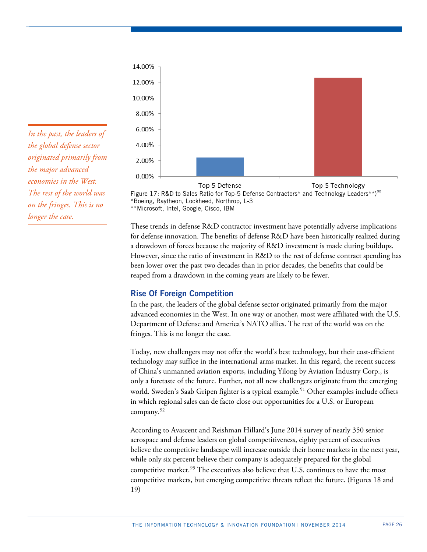

\*\*Microsoft, Intel, Google, Cisco, IBM

These trends in defense R&D contractor investment have potentially adverse implications for defense innovation. The benefits of defense R&D have been historically realized during a drawdown of forces because the majority of R&D investment is made during buildups. However, since the ratio of investment in R&D to the rest of defense contract spending has been lower over the past two decades than in prior decades, the benefits that could be reaped from a drawdown in the coming years are likely to be fewer.

# **Rise Of Foreign Competition**

In the past, the leaders of the global defense sector originated primarily from the major advanced economies in the West. In one way or another, most were affiliated with the U.S. Department of Defense and America's NATO allies. The rest of the world was on the fringes. This is no longer the case.

Today, new challengers may not offer the world's best technology, but their cost-efficient technology may suffice in the international arms market. In this regard, the recent success of China's unmanned aviation exports, including Yilong by Aviation Industry Corp., is only a foretaste of the future. Further, not all new challengers originate from the emerging world. Sweden's Saab Gripen fighter is a typical example.<sup>[91](#page-34-58)</sup> Other examples include offsets in which regional sales can de facto close out opportunities for a U.S. or European company[.92](#page-34-59)

According to Avascent and Reishman Hillard's June 2014 survey of nearly 350 senior aerospace and defense leaders on global competitiveness, eighty percent of executives believe the competitive landscape will increase outside their home markets in the next year, while only six percent believe their company is adequately prepared for the global competitive market.<sup>[93](#page-34-60)</sup> The executives also believe that U.S. continues to have the most competitive markets, but emerging competitive threats reflect the future. (Figures 18 and 19)

*In the past, the leaders of the global defense sector originated primarily from the major advanced economies in the West. The rest of the world was on the fringes. This is no longer the case.*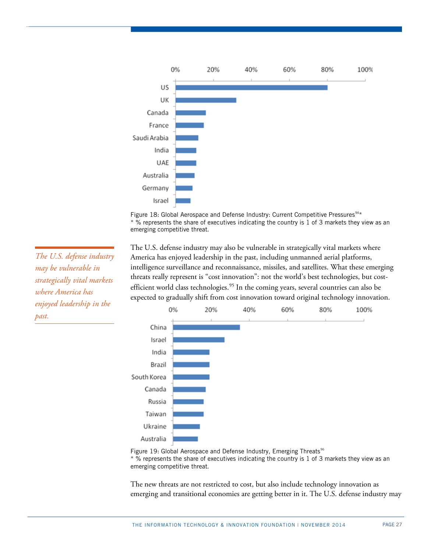

Figure 18: Global Aerospace and Defense Industry: Current Competitive Pressures<sup>[94\\*](#page-34-61)</sup> \* % represents the share of executives indicating the country is 1 of 3 markets they view as an emerging competitive threat.

The U.S. defense industry may also be vulnerable in strategically vital markets where America has enjoyed leadership in the past, including unmanned aerial platforms, intelligence surveillance and reconnaissance, missiles, and satellites. What these emerging threats really represent is "cost innovation": not the world's best technologies, but costefficient world class technologies. [95](#page-34-3) In the coming years, several countries can also be expected to gradually shift from cost innovation toward original technology innovation.



Figure 19: Global Aerospace and Defense Industry, Emerging Threats<sup>[96](#page-34-4)</sup> \* % represents the share of executives indicating the country is 1 of 3 markets they view as an emerging competitive threat.

The new threats are not restricted to cost, but also include technology innovation as emerging and transitional economies are getting better in it. The U.S. defense industry may

*The U.S. defense industry may be vulnerable in strategically vital markets where America has enjoyed leadership in the past.*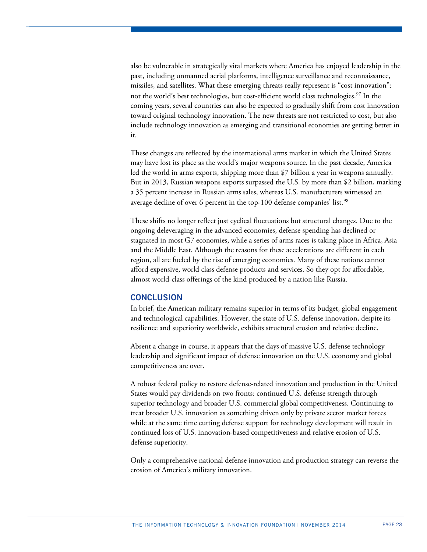also be vulnerable in strategically vital markets where America has enjoyed leadership in the past, including unmanned aerial platforms, intelligence surveillance and reconnaissance, missiles, and satellites. What these emerging threats really represent is "cost innovation": not the world's best technologies, but cost-efficient world class technologies. [97](#page-34-36) In the coming years, several countries can also be expected to gradually shift from cost innovation toward original technology innovation. The new threats are not restricted to cost, but also include technology innovation as emerging and transitional economies are getting better in it.

These changes are reflected by the international arms market in which the United States may have lost its place as the world's major weapons source. In the past decade, America led the world in arms exports, shipping more than \$7 billion a year in weapons annually. But in 2013, Russian weapons exports surpassed the U.S. by more than \$2 billion, marking a 35 percent increase in Russian arms sales, whereas U.S. manufacturers witnessed an average decline of over 6 percent in the top-100 defense companies' list.<sup>[98](#page-34-37)</sup>

These shifts no longer reflect just cyclical fluctuations but structural changes. Due to the ongoing deleveraging in the advanced economies, defense spending has declined or stagnated in most G7 economies, while a series of arms races is taking place in Africa, Asia and the Middle East. Although the reasons for these accelerations are different in each region, all are fueled by the rise of emerging economies. Many of these nations cannot afford expensive, world class defense products and services. So they opt for affordable, almost world-class offerings of the kind produced by a nation like Russia.

## **CONCLUSION**

In brief, the American military remains superior in terms of its budget, global engagement and technological capabilities. However, the state of U.S. defense innovation, despite its resilience and superiority worldwide, exhibits structural erosion and relative decline.

Absent a change in course, it appears that the days of massive U.S. defense technology leadership and significant impact of defense innovation on the U.S. economy and global competitiveness are over.

A robust federal policy to restore defense-related innovation and production in the United States would pay dividends on two fronts: continued U.S. defense strength through superior technology and broader U.S. commercial global competitiveness. Continuing to treat broader U.S. innovation as something driven only by private sector market forces while at the same time cutting defense support for technology development will result in continued loss of U.S. innovation-based competitiveness and relative erosion of U.S. defense superiority.

Only a comprehensive national defense innovation and production strategy can reverse the erosion of America's military innovation.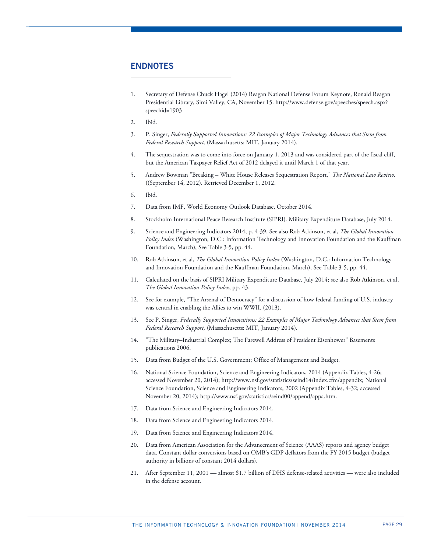# **ENDNOTES**

- <span id="page-28-0"></span>1. Secretary of Defense Chuck Hagel (2014) Reagan National Defense Forum Keynote, Ronald Reagan Presidential Library, Simi Valley, CA, November 15. http://www.defense.gov/speeches/speech.aspx? speechid=1903
- <span id="page-28-1"></span>2. Ibid.

1

- <span id="page-28-2"></span>3. P. Singer, *Federally Supported Innovations: 22 Examples of Major Technology Advances that Stem from Federal Research Support,* (Massachusetts: MIT, January 2014).
- <span id="page-28-3"></span>4. The sequestration was to come into force on January 1, 2013 and was considered part of the fiscal cliff, but the American Taxpayer Relief Act of 2012 delayed it until March 1 of that year.
- 5. Andrew Bowman "Breaking White House Releases Sequestration Report," *The National Law Review*. ((September 14, 2012). Retrieved December 1, 2012.
- 6. Ibid.
- 7. Data from IMF, World Economy Outlook Database, October 2014.
- 8. Stockholm International Peace Research Institute (SIPRI). Military Expenditure Database, July 2014.
- 9. Science and Engineering Indicators 2014, p. 4-39. See also Rob Atkinson, et al, *The Global Innovation Policy Index* (Washington, D.C.: Information Technology and Innovation Foundation and the Kauffman Foundation, March), See Table 3-5, pp. 44.
- 10. Rob Atkinson, et al, *The Global Innovation Policy Index* (Washington, D.C.: Information Technology and Innovation Foundation and the Kauffman Foundation, March), See Table 3-5, pp. 44.
- 11. Calculated on the basis of SIPRI Military Expenditure Database, July 2014; see also Rob Atkinson, et al, *The Global Innovation Policy Index*, pp. 43.
- 12. See for example, "The Arsenal of Democracy" for a discussion of how federal funding of U.S. industry was central in enabling the Allies to win WWII. (2013).
- 13. See P. Singer, *Federally Supported Innovations: 22 Examples of Major Technology Advances that Stem from Federal Research Support,* (Massachusetts: MIT, January 2014).
- 14. "The Military–Industrial Complex; The Farewell Address of President Eisenhower" Basements publications 2006.
- 15. Data from Budget of the U.S. Government; Office of Management and Budget.
- 16. National Science Foundation, Science and Engineering Indicators, 2014 (Appendix Tables, 4-26; accessed November 20, 2014); http://www.nsf.gov/statistics/seind14/index.cfm/appendix; National Science Foundation, Science and Engineering Indicators, 2002 (Appendix Tables, 4-32; accessed November 20, 2014); http://www.nsf.gov/statistics/seind00/append/appa.htm.
- 17. Data from Science and Engineering Indicators 2014.
- 18. Data from Science and Engineering Indicators 2014.
- 19. Data from Science and Engineering Indicators 2014.
- 20. Data from American Association for the Advancement of Science (AAAS) reports and agency budget data. Constant dollar conversions based on OMB's GDP deflators from the FY 2015 budget (budget authority in billions of constant 2014 dollars).
- 21. After September 11, 2001 almost \$1.7 billion of DHS defense-related activities were also included in the defense account.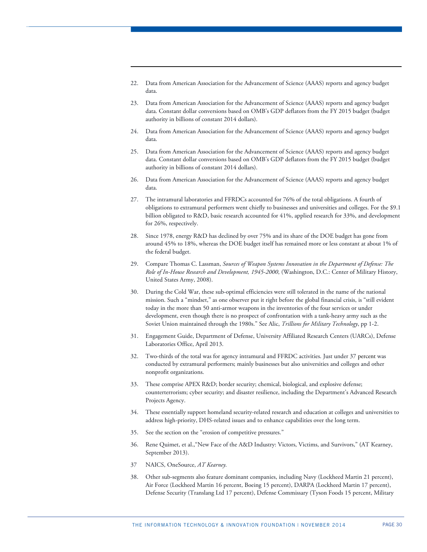- 22. Data from American Association for the Advancement of Science (AAAS) reports and agency budget data.
- 23. Data from American Association for the Advancement of Science (AAAS) reports and agency budget data. Constant dollar conversions based on OMB's GDP deflators from the FY 2015 budget (budget authority in billions of constant 2014 dollars).
- 24. Data from American Association for the Advancement of Science (AAAS) reports and agency budget data.
- 25. Data from American Association for the Advancement of Science (AAAS) reports and agency budget data. Constant dollar conversions based on OMB's GDP deflators from the FY 2015 budget (budget authority in billions of constant 2014 dollars).
- <span id="page-29-0"></span>26. Data from American Association for the Advancement of Science (AAAS) reports and agency budget data.
- <span id="page-29-1"></span>27. The intramural laboratories and FFRDCs accounted for 76% of the total obligations. A fourth of obligations to extramural performers went chiefly to businesses and universities and colleges. For the \$9.1 billion obligated to R&D, basic research accounted for 41%, applied research for 33%, and development for 26%, respectively.
- 28. Since 1978, energy R&D has declined by over 75% and its share of the DOE budget has gone from around 45% to 18%, whereas the DOE budget itself has remained more or less constant at about 1% of the federal budget.
- 29. Compare Thomas C. Lassman, *Sources of Weapon Systems Innovation in the Department of Defense: The Role of In-House Research and Development, 1945-2000*, (Washington, D.C.: Center of Military History, United States Army, 2008).
- 30. During the Cold War, these sub-optimal efficiencies were still tolerated in the name of the national mission. Such a "mindset," as one observer put it right before the global financial crisis, is "still evident today in the more than 50 anti-armor weapons in the inventories of the four services or under development, even though there is no prospect of confrontation with a tank-heavy army such as the Soviet Union maintained through the 1980s." See Alic, *Trillions for Military Technology*, pp 1-2.
- 31. Engagement Guide, Department of Defense, University Affiliated Research Centers (UARCs), Defense Laboratories Office, April 2013.
- 32. Two-thirds of the total was for agency intramural and FFRDC activities. Just under 37 percent was conducted by extramural performers; mainly businesses but also universities and colleges and other nonprofit organizations.
- 33. These comprise APEX R&D; border security; chemical, biological, and explosive defense; counterterrorism; cyber security; and disaster resilience, including the Department's Advanced Research Projects Agency.
- 34. These essentially support homeland security-related research and education at colleges and universities to address high-priority, DHS-related issues and to enhance capabilities over the long term.
- 35. See the section on the "erosion of competitive pressures."
- 36. Rene Quimet, et al.,"New Face of the A&D Industry: Victors, Victims, and Survivors," (AT Kearney, September 2013).
- 37 NAICS, OneSource, *AT Kearney*.

 $\ddot{\phantom{a}}$ 

38. Other sub-segments also feature dominant companies, including Navy (Lockheed Martin 21 percent), Air Force (Lockheed Martin 16 percent, Boeing 15 percent), DARPA (Lockheed Martin 17 percent), Defense Security (Translang Ltd 17 percent), Defense Commissary (Tyson Foods 15 percent, Military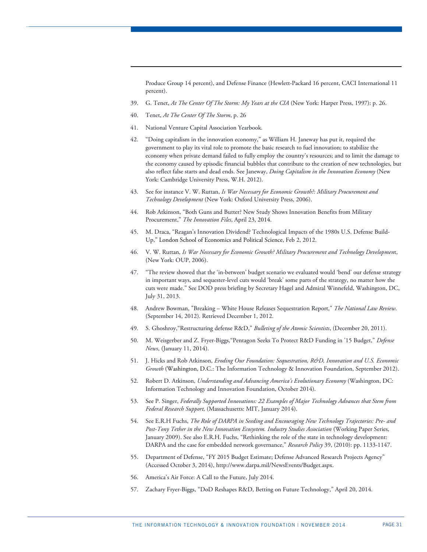Produce Group 14 percent), and Defense Finance (Hewlett-Packard 16 percent, CACI International 11 percent).

- 39. G. Tenet, *At The Center Of The Storm: My Years at the CIA* (New York: Harper Press, 1997): p. 26.
- 40. Tenet, *At The Center Of The Storm*, p. 26

- 41. National Venture Capital Association Yearbook.
- 42. "Doing capitalism in the innovation economy," as William H. Janeway has put it, required the government to play its vital role to promote the basic research to fuel innovation; to stabilize the economy when private demand failed to fully employ the country's resources; and to limit the damage to the economy caused by episodic financial bubbles that contribute to the creation of new technologies, but also reflect false starts and dead ends. See Janeway, *Doing Capitalism in the Innovation Economy* (New York: Cambridge University Press, W.H. 2012).
- 43. See for instance V. W. Ruttan, *Is War Necessary for Economic Growth?: Military Procurement and Technology Development* (New York: Oxford University Press, 2006).
- <span id="page-30-1"></span><span id="page-30-0"></span>44. Rob Atkinson, "Both Guns and Butter? New Study Shows Innovation Benefits from Military Procurement," *The Innovation Files*, April 23, 2014.
- <span id="page-30-2"></span>45. M. Draca, "Reagan's Innovation Dividend? Technological Impacts of the 1980s U.S. Defense Build-Up," London School of Economics and Political Science, Feb 2, 2012.
- <span id="page-30-3"></span>46. V. W. Ruttan, *Is War Necessary for Economic Growth? Military Procurement and Technology Developmen*t, (New York: OUP, 2006).
- <span id="page-30-4"></span>47. "The review showed that the 'in-between' budget scenario we evaluated would 'bend' our defense strategy in important ways, and sequester-level cuts would 'break' some parts of the strategy, no matter how the cuts were made." See DOD press briefing by Secretary Hagel and Admiral Winnefeld, Washington, DC, July 31, 2013.
- 48. Andrew Bowman, "Breaking White House Releases Sequestration Report," *The National Law Review*. (September 14, 2012). Retrieved December 1, 2012.
- 49. S. Ghoshroy,"Restructuring defense R&D," *Bulleting of the Atomic Scientists*, (December 20, 2011).
- 50. M. Weisgerber and Z. Fryer-Biggs,"Pentagon Seeks To Protect R&D Funding in '15 Budget," *Defense News*, (January 11, 2014).
- 51. J. Hicks and Rob Atkinson, *Eroding Our Foundation: Sequestration, R&D, Innovation and U.S. Economic Growth* (Washington, D.C.: The Information Technology & Innovation Foundation, September 2012).
- 52. Robert D. Atkinson, *Understanding and Advancing America's Evolutionary Economy* (Washington, DC: Information Technology and Innovation Foundation, October 2014).
- 53. See P. Singer, *Federally Supported Innovations: 22 Examples of Major Technology Advances that Stem from Federal Research Support,* (Massachusetts: MIT, January 2014).
- 54. See E.R.H Fuchs, *The Role of DARPA in Seeding and Encouraging New Technology Trajectories: Pre- and Post-Tony Tether in the New Innovation Ecosystem. Industry Studies Association* (Working Paper Series, January 2009). See also E.R.H. Fuchs, "Rethinking the role of the state in technology development: DARPA and the case for embedded network governance," *Research Policy* 39, (2010): pp. 1133-1147.
- 55. Department of Defense, "FY 2015 Budget Estimate; Defense Advanced Research Projects Agency" (Accessed October 3, 2014), [http://www.darpa.mil/NewsEvents/Budget.aspx.](https://mail.itic.org/owa/redir.aspx?C=f04cc68e497b4b5a8ff336876e4877f0&URL=http%3a%2f%2fwww.darpa.mil%2fNewsEvents%2fBudget.aspx)
- 56. America's Air Force: A Call to the Future, July 2014.
- 57. Zachary Fryer-Biggs, "DoD Reshapes R&D, Betting on Future Technology," April 20, 2014.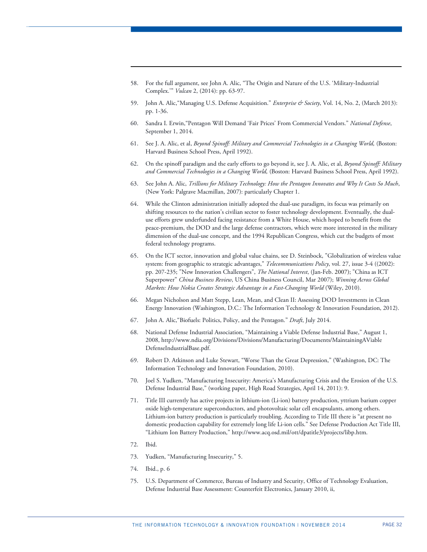- 58. For the full argument, see John A. Alic, "The Origin and Nature of the U.S. 'Military-Industrial Complex.'" *Vulcan* 2, (2014): pp. 63-97.
- 59. John A. Alic,"Managing U.S. Defense Acquisition." *Enterprise & Society*, Vol. 14, No. 2, (March 2013): pp. 1-36.
- 60. Sandra I. Erwin,"Pentagon Will Demand 'Fair Prices' From Commercial Vendors." *National Defense*, September 1, 2014.
- 61. See J. A. Alic, et al, *Beyond Spinoff: Military and Commercial Technologies in a Changing World,* (Boston: Harvard Business School Press, April 1992).
- 62. On the spinoff paradigm and the early efforts to go beyond it, see J. A. Alic, et al, *Beyond Spinoff: Military and Commercial Technologies in a Changing World,* (Boston: Harvard Business School Press, April 1992).
- 63. See John A. Alic, *Trillions for Military Technology: How the Pentagon Innovates and Why It Costs So Much*, (New York: Palgrave Macmillan, 2007): particularly Chapter 1.
- 64. While the Clinton administration initially adopted the dual-use paradigm, its focus was primarily on shifting resources to the nation's civilian sector to foster technology development. Eventually, the dualuse efforts grew underfunded facing resistance from a White House, which hoped to benefit from the peace-premium, the DOD and the large defense contractors, which were more interested in the military dimension of the dual-use concept, and the 1994 Republican Congress, which cut the budgets of most federal technology programs.
- 65. On the ICT sector, innovation and global value chains, see D. Steinbock, "Globalization of wireless value system: from geographic to strategic advantages," *Telecommunications Policy*, vol. 27, issue 3-4 ((2002): pp. 207-235; "New Innovation Challengers", *The National Interest*, (Jan-Feb. 2007); "China as ICT Superpower" *China Business Review*, US China Business Council, Mar 2007); *Winning Across Global Markets: How Nokia Creates Strategic Advantage in a Fast-Changing World* (Wiley, 2010).
- <span id="page-31-0"></span>66. Megan Nicholson and Matt Stepp, Lean, Mean, and Clean II: Assessing DOD Investments in Clean Energy Innovation (Washington, D.C.: The Information Technology & Innovation Foundation, 2012).
- <span id="page-31-1"></span>67. John A. Alic,"Biofuels: Politics, Policy, and the Pentagon." *Draft*, July 2014.
- <span id="page-31-2"></span>68. National Defense Industrial Association, "Maintaining a Viable Defense Industrial Base," August 1, 2008, http://www.ndia.org/Divisions/Divisions/Manufacturing/Documents/MaintainingAViable DefenseIndustrialBase.pdf.
- 69. Robert D. Atkinson and Luke Stewart, "Worse Than the Great Depression," (Washington, DC: The Information Technology and Innovation Foundation, 2010).
- 70. Joel S. Yudken, "Manufacturing Insecurity: America's Manufacturing Crisis and the Erosion of the U.S. Defense Industrial Base," (working paper, High Road Strategies, April 14, 2011): 9.
- 71. Title III currently has active projects in lithium-ion (Li-ion) battery production, yttrium barium copper oxide high-temperature superconductors, and photovoltaic solar cell encapsulants, among others. Lithium-ion battery production is particularly troubling. According to Title III there is "at present no domestic production capability for extremely long life Li-ion cells." See Defense Production Act Title III, "Lithium Ion Battery Production," http://www.acq.osd.mil/ott/dpatitle3/projects/libp.htm.
- 72. Ibid.

- 73. Yudken, "Manufacturing Insecurity," 5.
- 74. Ibid., p. 6
- 75. U.S. Department of Commerce, Bureau of Industry and Security, Office of Technology Evaluation, Defense Industrial Base Assessment: Counterfeit Electronics, January 2010, ii,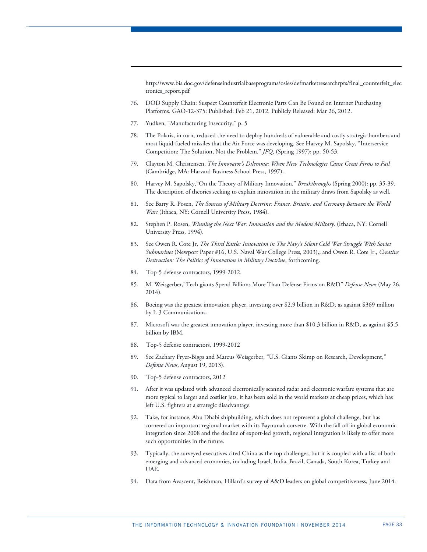http://www.bis.doc.gov/defenseindustrialbaseprograms/osies/defmarketresearchrpts/final\_counterfeit\_elec tronics\_report.pdf

- 76. DOD Supply Chain: Suspect Counterfeit Electronic Parts Can Be Found on Internet Purchasing Platforms. GAO-12-375: Published: Feb 21, 2012. Publicly Released: Mar 26, 2012.
- 77. Yudken, "Manufacturing Insecurity," p. 5

- 78. The Polaris, in turn, reduced the need to deploy hundreds of vulnerable and costly strategic bombers and most liquid-fueled missiles that the Air Force was developing. See Harvey M. Sapolsky, "Interservice Competition: The Solution, Not the Problem." *JFQ*, (Spring 1997): pp. 50-53.
- 79. Clayton M. Christensen, *The Innovator's Dilemma: When New Technologies Cause Great Firms to Fail*  (Cambridge, MA: Harvard Business School Press, 1997).
- 80. Harvey M. Sapolsky,"On the Theory of Military Innovation." *Breakthroughs* (Spring 2000): pp. 35-39. The description of theories seeking to explain innovation in the military draws from Sapolsky as well.
- 81. See Barry R. Posen, *The Sources of Military Doctrine: France. Britain. and Germany Between the World Wars* (Ithaca, NY: Cornell University Press, 1984).
- 82. Stephen P. Rosen, *Winning the Next War: Innovation and the Modem Military*. (Ithaca, NY: Cornell University Press, 1994).
- 83. See Owen R. Cote Jr, *The Third Battle: Innovation in The Navy's Silent Cold War Struggle With Soviet Submarines* (Newport Paper #16, U.S. Naval War College Press, 2003),; and Owen R. Cote Jr., *Creative Destruction: The Politics of Innovation in Military Doctrine*, forthcoming.
- 84. Top-5 defense contractors, 1999-2012.
- 85. M. Weisgerber,"Tech giants Spend Billions More Than Defense Firms on R&D" *Defense News* (May 26, 2014).
- 86. Boeing was the greatest innovation player, investing over \$2.9 billion in R&D, as against \$369 million by L-3 Communications.
- 87. Microsoft was the greatest innovation player, investing more than \$10.3 billion in R&D, as against \$5.5 billion by IBM.
- 88. Top-5 defense contractors, 1999-2012
- <span id="page-32-0"></span>89. See Zachary Fryer-Biggs and Marcus Weisgerber, "U.S. Giants Skimp on Research, Development," *Defense News*, August 19, 2013).
- <span id="page-32-1"></span>90. Top-5 defense contractors, 2012
- 91. After it was updated with advanced electronically scanned radar and electronic warfare systems that are more typical to larger and costlier jets, it has been sold in the world markets at cheap prices, which has left U.S. fighters at a strategic disadvantage.
- 92. Take, for instance, Abu Dhabi shipbuilding, which does not represent a global challenge, but has cornered an important regional market with its Baynunah corvette. With the fall off in global economic integration since 2008 and the decline of export-led growth, regional integration is likely to offer more such opportunities in the future.
- 93. Typically, the surveyed executives cited China as the top challenger, but it is coupled with a list of both emerging and advanced economies, including Israel, India, Brazil, Canada, South Korea, Turkey and UAE.
- 94. Data from Avascent, Reishman, Hillard's survey of A&D leaders on global competitiveness, June 2014.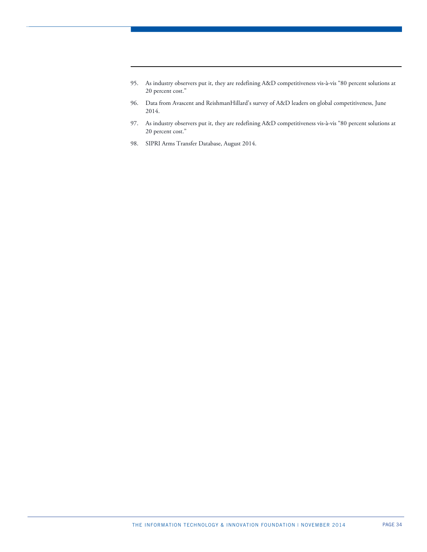- 95. As industry observers put it, they are redefining A&D competitiveness vis-à-vis "80 percent solutions at 20 percent cost."
- 96. Data from Avascent and ReishmanHillard's survey of A&D leaders on global competitiveness, June 2014.
- 97. As industry observers put it, they are redefining A&D competitiveness vis-à-vis "80 percent solutions at 20 percent cost."
- <span id="page-33-1"></span><span id="page-33-0"></span>98. SIPRI Arms Transfer Database, August 2014.